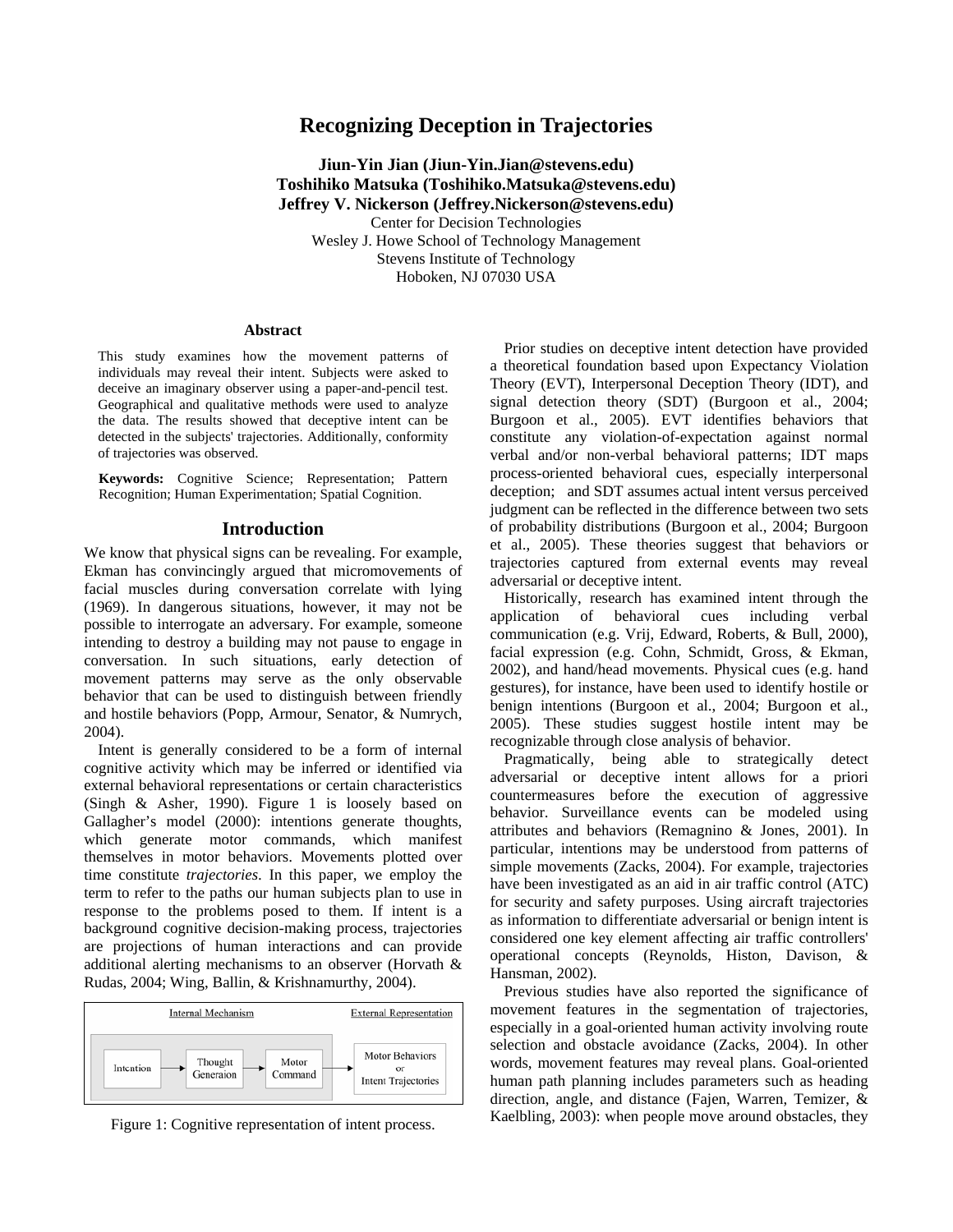# **Recognizing Deception in Trajectories**

**Jiun-Yin Jian (Jiun-Yin.Jian@stevens.edu) Toshihiko Matsuka (Toshihiko.Matsuka@stevens.edu) Jeffrey V. Nickerson (Jeffrey.Nickerson@stevens.edu)**  Center for Decision Technologies Wesley J. Howe School of Technology Management Stevens Institute of Technology Hoboken, NJ 07030 USA

#### **Abstract**

This study examines how the movement patterns of individuals may reveal their intent. Subjects were asked to deceive an imaginary observer using a paper-and-pencil test. Geographical and qualitative methods were used to analyze the data. The results showed that deceptive intent can be detected in the subjects' trajectories. Additionally, conformity of trajectories was observed.

**Keywords:** Cognitive Science; Representation; Pattern Recognition; Human Experimentation; Spatial Cognition.

### **Introduction**

We know that physical signs can be revealing. For example, Ekman has convincingly argued that micromovements of facial muscles during conversation correlate with lying (1969). In dangerous situations, however, it may not be possible to interrogate an adversary. For example, someone intending to destroy a building may not pause to engage in conversation. In such situations, early detection of movement patterns may serve as the only observable behavior that can be used to distinguish between friendly and hostile behaviors (Popp, Armour, Senator, & Numrych, 2004).

Intent is generally considered to be a form of internal cognitive activity which may be inferred or identified via external behavioral representations or certain characteristics (Singh & Asher, 1990). Figure 1 is loosely based on Gallagher's model (2000): intentions generate thoughts, which generate motor commands, which manifest themselves in motor behaviors. Movements plotted over time constitute *trajectories*. In this paper, we employ the term to refer to the paths our human subjects plan to use in response to the problems posed to them. If intent is a background cognitive decision-making process, trajectories are projections of human interactions and can provide additional alerting mechanisms to an observer (Horvath & Rudas, 2004; Wing, Ballin, & Krishnamurthy, 2004).



Figure 1: Cognitive representation of intent process.

Prior studies on deceptive intent detection have provided a theoretical foundation based upon Expectancy Violation Theory (EVT), Interpersonal Deception Theory (IDT), and signal detection theory (SDT) (Burgoon et al., 2004; Burgoon et al., 2005). EVT identifies behaviors that constitute any violation-of-expectation against normal verbal and/or non-verbal behavioral patterns; IDT maps process-oriented behavioral cues, especially interpersonal deception; and SDT assumes actual intent versus perceived judgment can be reflected in the difference between two sets of probability distributions (Burgoon et al., 2004; Burgoon et al., 2005). These theories suggest that behaviors or trajectories captured from external events may reveal adversarial or deceptive intent.

Historically, research has examined intent through the application of behavioral cues including verbal communication (e.g. Vrij, Edward, Roberts, & Bull, 2000), facial expression (e.g. Cohn, Schmidt, Gross, & Ekman, 2002), and hand/head movements. Physical cues (e.g. hand gestures), for instance, have been used to identify hostile or benign intentions (Burgoon et al., 2004; Burgoon et al., 2005). These studies suggest hostile intent may be recognizable through close analysis of behavior.

Pragmatically, being able to strategically detect adversarial or deceptive intent allows for a priori countermeasures before the execution of aggressive behavior. Surveillance events can be modeled using attributes and behaviors (Remagnino & Jones, 2001). In particular, intentions may be understood from patterns of simple movements (Zacks, 2004). For example, trajectories have been investigated as an aid in air traffic control (ATC) for security and safety purposes. Using aircraft trajectories as information to differentiate adversarial or benign intent is considered one key element affecting air traffic controllers' operational concepts (Reynolds, Histon, Davison, & Hansman, 2002).

Previous studies have also reported the significance of movement features in the segmentation of trajectories, especially in a goal-oriented human activity involving route selection and obstacle avoidance (Zacks, 2004). In other words, movement features may reveal plans. Goal-oriented human path planning includes parameters such as heading direction, angle, and distance (Fajen, Warren, Temizer, & Kaelbling, 2003): when people move around obstacles, they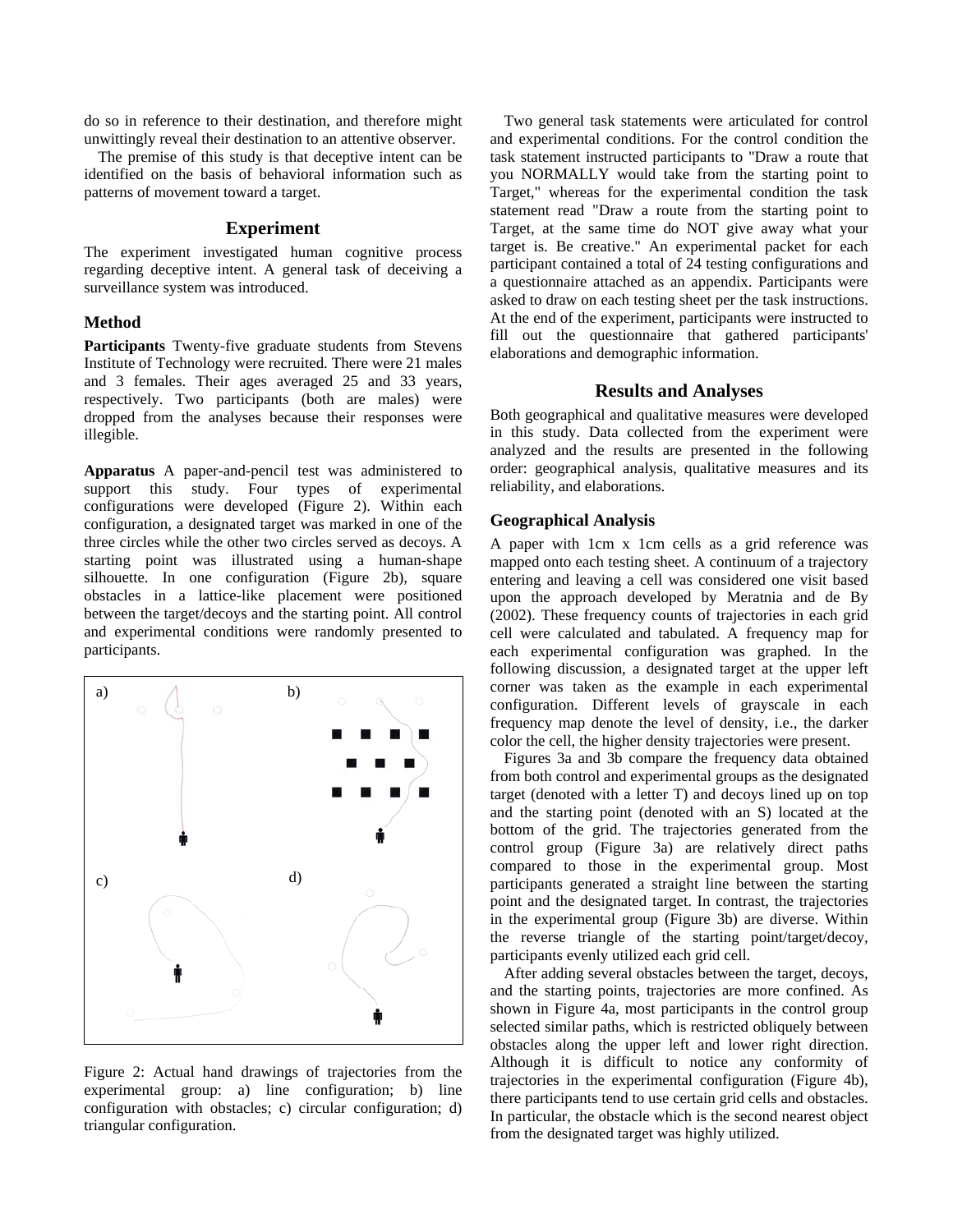do so in reference to their destination, and therefore might unwittingly reveal their destination to an attentive observer.

The premise of this study is that deceptive intent can be identified on the basis of behavioral information such as patterns of movement toward a target.

### **Experiment**

The experiment investigated human cognitive process regarding deceptive intent. A general task of deceiving a surveillance system was introduced.

#### **Method**

**Participants** Twenty-five graduate students from Stevens Institute of Technology were recruited. There were 21 males and 3 females. Their ages averaged 25 and 33 years, respectively. Two participants (both are males) were dropped from the analyses because their responses were illegible.

**Apparatus** A paper-and-pencil test was administered to support this study. Four types of experimental configurations were developed (Figure 2). Within each configuration, a designated target was marked in one of the three circles while the other two circles served as decoys. A starting point was illustrated using a human-shape silhouette. In one configuration (Figure 2b), square obstacles in a lattice-like placement were positioned between the target/decoys and the starting point. All control and experimental conditions were randomly presented to participants.



Figure 2: Actual hand drawings of trajectories from the experimental group: a) line configuration; b) line configuration with obstacles; c) circular configuration; d) triangular configuration.

Two general task statements were articulated for control and experimental conditions. For the control condition the task statement instructed participants to "Draw a route that you NORMALLY would take from the starting point to Target," whereas for the experimental condition the task statement read "Draw a route from the starting point to Target, at the same time do NOT give away what your target is. Be creative." An experimental packet for each participant contained a total of 24 testing configurations and a questionnaire attached as an appendix. Participants were asked to draw on each testing sheet per the task instructions. At the end of the experiment, participants were instructed to fill out the questionnaire that gathered participants' elaborations and demographic information.

### **Results and Analyses**

Both geographical and qualitative measures were developed in this study. Data collected from the experiment were analyzed and the results are presented in the following order: geographical analysis, qualitative measures and its reliability, and elaborations.

### **Geographical Analysis**

A paper with 1cm x 1cm cells as a grid reference was mapped onto each testing sheet. A continuum of a trajectory entering and leaving a cell was considered one visit based upon the approach developed by Meratnia and de By (2002). These frequency counts of trajectories in each grid cell were calculated and tabulated. A frequency map for each experimental configuration was graphed. In the following discussion, a designated target at the upper left corner was taken as the example in each experimental configuration. Different levels of grayscale in each frequency map denote the level of density, i.e., the darker color the cell, the higher density trajectories were present.

Figures 3a and 3b compare the frequency data obtained from both control and experimental groups as the designated target (denoted with a letter T) and decoys lined up on top and the starting point (denoted with an S) located at the bottom of the grid. The trajectories generated from the control group (Figure 3a) are relatively direct paths compared to those in the experimental group. Most participants generated a straight line between the starting point and the designated target. In contrast, the trajectories in the experimental group (Figure 3b) are diverse. Within the reverse triangle of the starting point/target/decoy, participants evenly utilized each grid cell.

After adding several obstacles between the target, decoys, and the starting points, trajectories are more confined. As shown in Figure 4a, most participants in the control group selected similar paths, which is restricted obliquely between obstacles along the upper left and lower right direction. Although it is difficult to notice any conformity of trajectories in the experimental configuration (Figure 4b), there participants tend to use certain grid cells and obstacles. In particular, the obstacle which is the second nearest object from the designated target was highly utilized.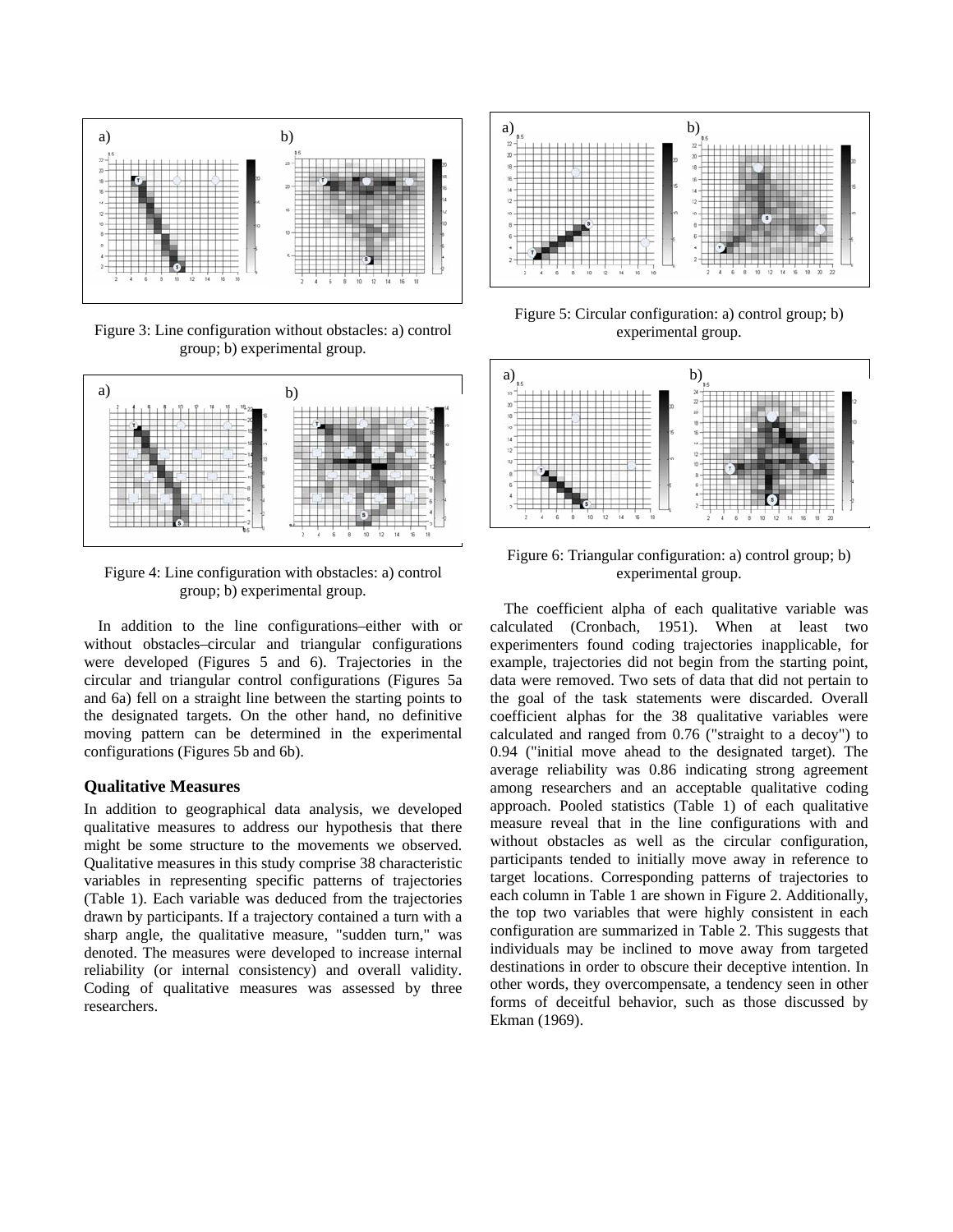

Figure 3: Line configuration without obstacles: a) control group; b) experimental group.



Figure 4: Line configuration with obstacles: a) control group; b) experimental group.

In addition to the line configurations–either with or without obstacles–circular and triangular configurations were developed (Figures 5 and 6). Trajectories in the circular and triangular control configurations (Figures 5a and 6a) fell on a straight line between the starting points to the designated targets. On the other hand, no definitive moving pattern can be determined in the experimental configurations (Figures 5b and 6b).

# **Qualitative Measures**

In addition to geographical data analysis, we developed qualitative measures to address our hypothesis that there might be some structure to the movements we observed. Qualitative measures in this study comprise 38 characteristic variables in representing specific patterns of trajectories (Table 1). Each variable was deduced from the trajectories drawn by participants. If a trajectory contained a turn with a sharp angle, the qualitative measure, "sudden turn," was denoted. The measures were developed to increase internal reliability (or internal consistency) and overall validity. Coding of qualitative measures was assessed by three researchers.



Figure 5: Circular configuration: a) control group; b) experimental group.



Figure 6: Triangular configuration: a) control group; b) experimental group.

The coefficient alpha of each qualitative variable was calculated (Cronbach, 1951). When at least two experimenters found coding trajectories inapplicable, for example, trajectories did not begin from the starting point, data were removed. Two sets of data that did not pertain to the goal of the task statements were discarded. Overall coefficient alphas for the 38 qualitative variables were calculated and ranged from 0.76 ("straight to a decoy") to 0.94 ("initial move ahead to the designated target). The average reliability was 0.86 indicating strong agreement among researchers and an acceptable qualitative coding approach. Pooled statistics (Table 1) of each qualitative measure reveal that in the line configurations with and without obstacles as well as the circular configuration, participants tended to initially move away in reference to target locations. Corresponding patterns of trajectories to each column in Table 1 are shown in Figure 2. Additionally, the top two variables that were highly consistent in each configuration are summarized in Table 2. This suggests that individuals may be inclined to move away from targeted destinations in order to obscure their deceptive intention. In other words, they overcompensate, a tendency seen in other forms of deceitful behavior, such as those discussed by Ekman (1969).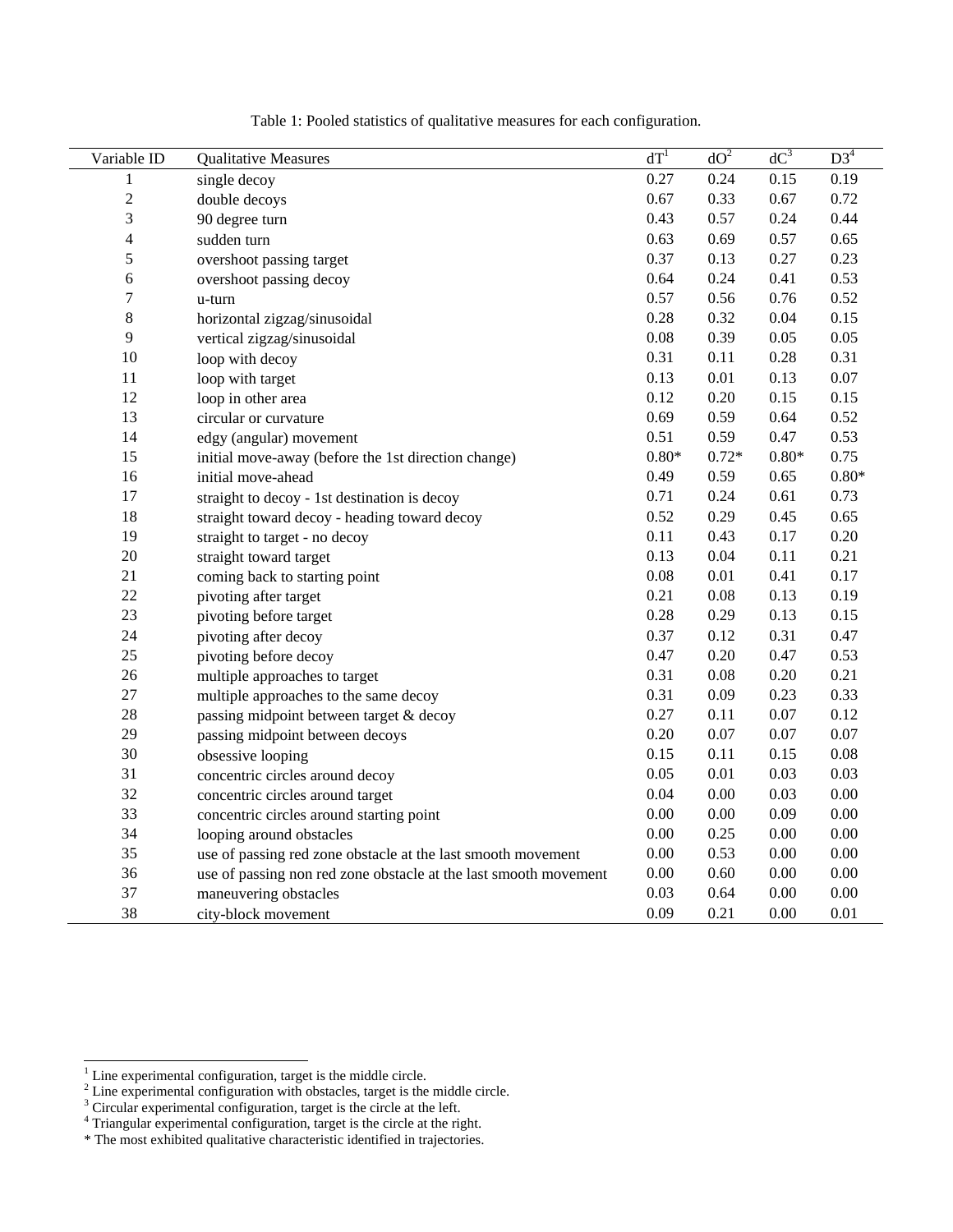| Variable ID              |                                                                  | dT <sup>1</sup> | $d\overline{O^2}$ | $dC^3$   | D3 <sup>4</sup>  |
|--------------------------|------------------------------------------------------------------|-----------------|-------------------|----------|------------------|
| 1                        | <b>Qualitative Measures</b>                                      | 0.27            | 0.24              | 0.15     | 0.19             |
|                          | single decoy                                                     | 0.67            | 0.33              |          | 0.72             |
| $\overline{c}$           | double decoys                                                    |                 |                   | 0.67     |                  |
| 3                        | 90 degree turn                                                   | 0.43            | 0.57              | 0.24     | 0.44             |
| $\overline{\mathcal{L}}$ | sudden turn                                                      | 0.63            | 0.69              | 0.57     | 0.65             |
| 5                        | overshoot passing target                                         | 0.37            | 0.13              | 0.27     | 0.23             |
| 6                        | overshoot passing decoy                                          | 0.64            | 0.24              | 0.41     | 0.53             |
| $\overline{7}$           | u-turn                                                           | 0.57            | 0.56              | 0.76     | 0.52             |
| 8                        | horizontal zigzag/sinusoidal                                     | 0.28            | 0.32              | $0.04\,$ | 0.15             |
| 9                        | vertical zigzag/sinusoidal                                       | $0.08\,$        | 0.39              | 0.05     | 0.05             |
| 10                       | loop with decoy                                                  | 0.31            | 0.11              | 0.28     | 0.31             |
| 11                       | loop with target                                                 | 0.13            | 0.01              | 0.13     | $0.07\,$         |
| 12                       | loop in other area                                               | 0.12            | 0.20              | 0.15     | 0.15             |
| 13                       | circular or curvature                                            | 0.69            | 0.59              | 0.64     | 0.52             |
| 14                       | edgy (angular) movement                                          | 0.51            | 0.59              | 0.47     | 0.53             |
| 15                       | initial move-away (before the 1st direction change)              | $0.80*$         | $0.72*$           | $0.80*$  | 0.75             |
| 16                       | initial move-ahead                                               | 0.49            | 0.59              | 0.65     | $0.80\mathrm{*}$ |
| 17                       | straight to decoy - 1st destination is decoy                     | 0.71            | 0.24              | 0.61     | 0.73             |
| 18                       | straight toward decoy - heading toward decoy                     | 0.52            | 0.29              | 0.45     | 0.65             |
| 19                       | straight to target - no decoy                                    | 0.11            | 0.43              | 0.17     | 0.20             |
| 20                       | straight toward target                                           | 0.13            | 0.04              | 0.11     | 0.21             |
| 21                       | coming back to starting point                                    | 0.08            | 0.01              | 0.41     | 0.17             |
| 22                       | pivoting after target                                            | 0.21            | 0.08              | 0.13     | 0.19             |
| 23                       | pivoting before target                                           | 0.28            | 0.29              | 0.13     | 0.15             |
| 24                       | pivoting after decoy                                             | 0.37            | 0.12              | 0.31     | 0.47             |
| 25                       | pivoting before decoy                                            | 0.47            | 0.20              | 0.47     | 0.53             |
| 26                       | multiple approaches to target                                    | 0.31            | 0.08              | 0.20     | 0.21             |
| 27                       | multiple approaches to the same decoy                            | 0.31            | 0.09              | 0.23     | 0.33             |
| 28                       | passing midpoint between target & decoy                          | 0.27            | 0.11              | $0.07\,$ | 0.12             |
| 29                       | passing midpoint between decoys                                  | 0.20            | 0.07              | 0.07     | 0.07             |
| 30                       | obsessive looping                                                | 0.15            | 0.11              | 0.15     | $0.08\,$         |
| 31                       | concentric circles around decoy                                  | 0.05            | 0.01              | 0.03     | 0.03             |
| 32                       | concentric circles around target                                 | 0.04            | $0.00\,$          | 0.03     | $0.00\,$         |
| 33                       | concentric circles around starting point                         | 0.00            | 0.00              | 0.09     | $0.00\,$         |
| 34                       | looping around obstacles                                         | 0.00            | 0.25              | $0.00\,$ | $0.00\,$         |
| 35                       | use of passing red zone obstacle at the last smooth movement     | 0.00            | 0.53              | $0.00\,$ | 0.00             |
| 36                       | use of passing non red zone obstacle at the last smooth movement | 0.00            | 0.60              | $0.00\,$ | $0.00\,$         |
| 37                       | maneuvering obstacles                                            | 0.03            | 0.64              | $0.00\,$ | $0.00\,$         |
| 38                       | city-block movement                                              | 0.09            | 0.21              | $0.00\,$ | 0.01             |

Table 1: Pooled statistics of qualitative measures for each configuration.

<sup>&</sup>lt;sup>1</sup> Line experimental configuration, target is the middle circle.<br><sup>2</sup> Line experimental configuration with obstacles, target is the middle circle.<br><sup>3</sup> Circular experimental configuration, target is the circle at the left.

<sup>\*</sup> The most exhibited qualitative characteristic identified in trajectories.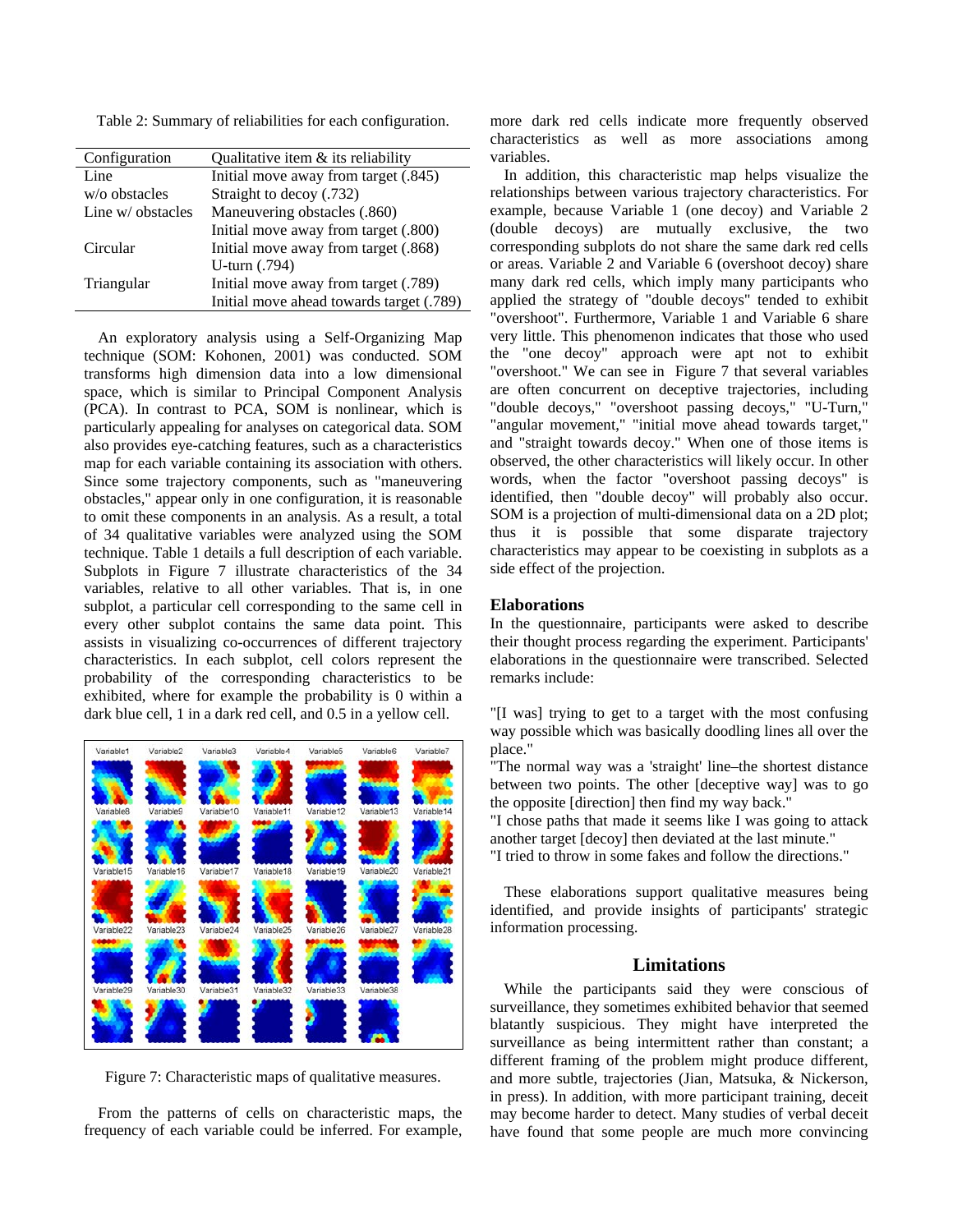Table 2: Summary of reliabilities for each configuration.

| Configuration     | Qualitative item $\&$ its reliability    |  |  |  |
|-------------------|------------------------------------------|--|--|--|
| Line              | Initial move away from target (.845)     |  |  |  |
| $w$ o obstacles   | Straight to decoy (.732)                 |  |  |  |
| Line w/ obstacles | Maneuvering obstacles (.860)             |  |  |  |
|                   | Initial move away from target (.800)     |  |  |  |
| Circular          | Initial move away from target (.868)     |  |  |  |
|                   | U-turn (.794)                            |  |  |  |
| Triangular        | Initial move away from target (.789)     |  |  |  |
|                   | Initial move ahead towards target (.789) |  |  |  |

An exploratory analysis using a Self-Organizing Map technique (SOM: Kohonen, 2001) was conducted. SOM transforms high dimension data into a low dimensional space, which is similar to Principal Component Analysis (PCA). In contrast to PCA, SOM is nonlinear, which is particularly appealing for analyses on categorical data. SOM also provides eye-catching features, such as a characteristics map for each variable containing its association with others. Since some trajectory components, such as "maneuvering obstacles," appear only in one configuration, it is reasonable to omit these components in an analysis. As a result, a total of 34 qualitative variables were analyzed using the SOM technique. Table 1 details a full description of each variable. Subplots in Figure 7 illustrate characteristics of the 34 variables, relative to all other variables. That is, in one subplot, a particular cell corresponding to the same cell in every other subplot contains the same data point. This assists in visualizing co-occurrences of different trajectory characteristics. In each subplot, cell colors represent the probability of the corresponding characteristics to be exhibited, where for example the probability is 0 within a dark blue cell, 1 in a dark red cell, and 0.5 in a yellow cell.



Figure 7: Characteristic maps of qualitative measures.

From the patterns of cells on characteristic maps, the frequency of each variable could be inferred. For example, more dark red cells indicate more frequently observed characteristics as well as more associations among variables.

In addition, this characteristic map helps visualize the relationships between various trajectory characteristics. For example, because Variable 1 (one decoy) and Variable 2 (double decoys) are mutually exclusive, the two corresponding subplots do not share the same dark red cells or areas. Variable 2 and Variable 6 (overshoot decoy) share many dark red cells, which imply many participants who applied the strategy of "double decoys" tended to exhibit "overshoot". Furthermore, Variable 1 and Variable 6 share very little. This phenomenon indicates that those who used the "one decoy" approach were apt not to exhibit "overshoot." We can see in Figure 7 that several variables are often concurrent on deceptive trajectories, including "double decoys," "overshoot passing decoys," "U-Turn," "angular movement," "initial move ahead towards target," and "straight towards decoy." When one of those items is observed, the other characteristics will likely occur. In other words, when the factor "overshoot passing decoys" is identified, then "double decoy" will probably also occur. SOM is a projection of multi-dimensional data on a 2D plot; thus it is possible that some disparate trajectory characteristics may appear to be coexisting in subplots as a side effect of the projection.

## **Elaborations**

In the questionnaire, participants were asked to describe their thought process regarding the experiment. Participants' elaborations in the questionnaire were transcribed. Selected remarks include:

"[I was] trying to get to a target with the most confusing way possible which was basically doodling lines all over the place."

"The normal way was a 'straight' line–the shortest distance between two points. The other [deceptive way] was to go the opposite [direction] then find my way back."

"I chose paths that made it seems like I was going to attack another target [decoy] then deviated at the last minute."

"I tried to throw in some fakes and follow the directions."

These elaborations support qualitative measures being identified, and provide insights of participants' strategic information processing.

#### **Limitations**

While the participants said they were conscious of surveillance, they sometimes exhibited behavior that seemed blatantly suspicious. They might have interpreted the surveillance as being intermittent rather than constant; a different framing of the problem might produce different, and more subtle, trajectories (Jian, Matsuka, & Nickerson, in press). In addition, with more participant training, deceit may become harder to detect. Many studies of verbal deceit have found that some people are much more convincing